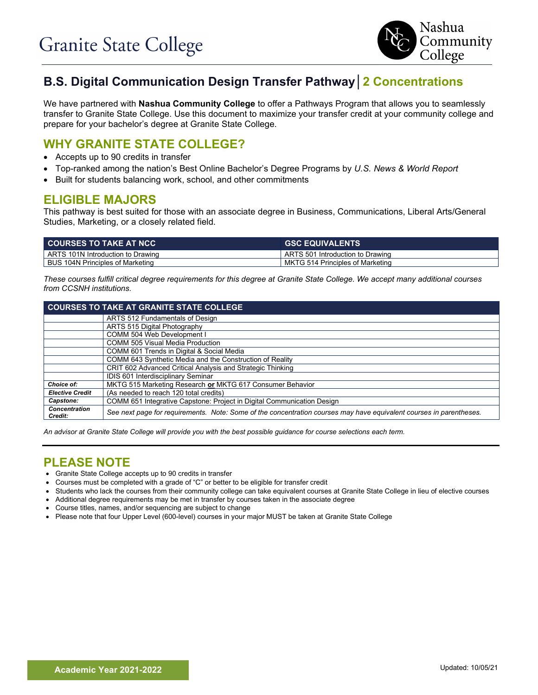

# **B.S. Digital Communication Design Transfer Pathway│2 Concentrations**

We have partnered with **Nashua Community College** to offer a Pathways Program that allows you to seamlessly transfer to Granite State College. Use this document to maximize your transfer credit at your community college and prepare for your bachelor's degree at Granite State College.

### **WHY GRANITE STATE COLLEGE?**

- Accepts up to 90 credits in transfer
- Top-ranked among the nation's Best Online Bachelor's Degree Programs by *U.S. News & World Report*
- Built for students balancing work, school, and other commitments

## **ELIGIBLE MAJORS**

This pathway is best suited for those with an associate degree in Business, Communications, Liberal Arts/General Studies, Marketing, or a closely related field.

| <b>COURSES TO TAKE AT NCC</b>     | <b>GSC EQUIVALENTS</b>           |
|-----------------------------------|----------------------------------|
| ARTS 101N Introduction to Drawing | ARTS 501 Introduction to Drawing |
| BUS 104N Principles of Marketing  | MKTG 514 Principles of Marketing |

*These courses fulfill critical degree requirements for this degree at Granite State College. We accept many additional courses from CCSNH institutions.*

| <b>COURSES TO TAKE AT GRANITE STATE COLLEGE</b> |                                                                                                                     |  |  |
|-------------------------------------------------|---------------------------------------------------------------------------------------------------------------------|--|--|
|                                                 | ARTS 512 Fundamentals of Design                                                                                     |  |  |
|                                                 | ARTS 515 Digital Photography                                                                                        |  |  |
|                                                 | COMM 504 Web Development I                                                                                          |  |  |
|                                                 | <b>COMM 505 Visual Media Production</b>                                                                             |  |  |
|                                                 | COMM 601 Trends in Digital & Social Media                                                                           |  |  |
|                                                 | COMM 643 Synthetic Media and the Construction of Reality                                                            |  |  |
|                                                 | CRIT 602 Advanced Critical Analysis and Strategic Thinking                                                          |  |  |
|                                                 | IDIS 601 Interdisciplinary Seminar                                                                                  |  |  |
| Choice of:                                      | MKTG 515 Marketing Research or MKTG 617 Consumer Behavior                                                           |  |  |
| <b>Elective Credit</b>                          | (As needed to reach 120 total credits)                                                                              |  |  |
| Capstone:                                       | COMM 651 Integrative Capstone: Project in Digital Communication Design                                              |  |  |
| <b>Concentration</b><br>Credit:                 | See next page for requirements. Note: Some of the concentration courses may have equivalent courses in parentheses. |  |  |

*An advisor at Granite State College will provide you with the best possible guidance for course selections each term.*

### **PLEASE NOTE**

- Granite State College accepts up to 90 credits in transfer
- Courses must be completed with a grade of "C" or better to be eligible for transfer credit
- Students who lack the courses from their community college can take equivalent courses at Granite State College in lieu of elective courses
- Additional degree requirements may be met in transfer by courses taken in the associate degree
- Course titles, names, and/or sequencing are subject to change
- Please note that four Upper Level (600-level) courses in your major MUST be taken at Granite State College